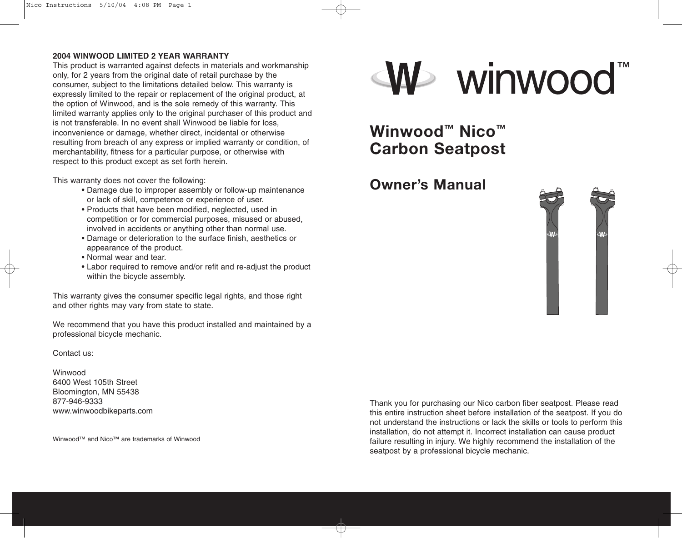### **2004 WINWOOD LIMITED 2 YEAR WARRANTY**

This product is warranted against defects in materials and workmanship only, for 2 years from the original date of retail purchase by the consumer, subject to the limitations detailed below. This warranty is expressly limited to the repair or replacement of the original product, at the option of Winwood, and is the sole remedy of this warranty. This limited warranty applies only to the original purchaser of this product and is not transferable. In no event shall Winwood be liable for loss, inconvenience or damage, whether direct, incidental or otherwise resulting from breach of any express or implied warranty or condition, of merchantability, fitness for a particular purpose, or otherwise with respect to this product except as set forth herein.

This warranty does not cover the following:

- Damage due to improper assembly or follow-up maintenance or lack of skill, competence or experience of user.
- Products that have been modified, neglected, used in competition or for commercial purposes, misused or abused, involved in accidents or anything other than normal use.
- Damage or deterioration to the surface finish, aesthetics or appearance of the product.
- Normal wear and tear.
- Labor required to remove and/or refit and re-adjust the product within the bicycle assembly.

This warranty gives the consumer specific legal rights, and those right and other rights may vary from state to state.

We recommend that you have this product installed and maintained by a professional bicycle mechanic.

## Contact us:

Winwood 6400 West 105th Street Bloomington, MN 55438 877-946-9333 www.winwoodbikeparts.com

Winwood™ and Nico™ are trademarks of Winwood



**Winwood™ Nico™ Carbon Seatpost**

**Owner's Manual**



Thank you for purchasing our Nico carbon fiber seatpost. Please read this entire instruction sheet before installation of the seatpost. If you do not understand the instructions or lack the skills or tools to perform this installation, do not attempt it. Incorrect installation can cause product failure resulting in injury. We highly recommend the installation of the seatpost by a professional bicycle mechanic.